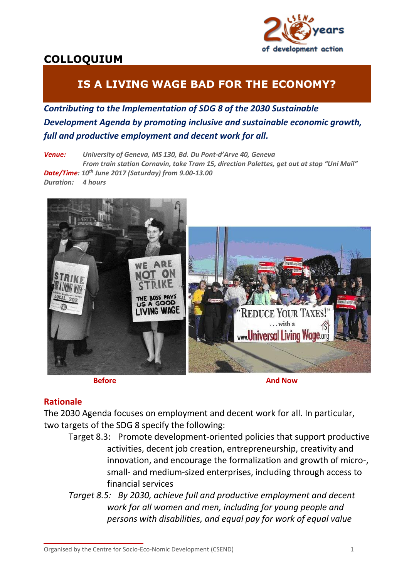

# **COLLOQUIUM**

# **IS A LIVING WAGE BAD FOR THE ECONOMY?**

*Contributing to the Implementation of SDG 8 of the 2030 Sustainable Development Agenda by promoting inclusive and sustainable economic growth, full and productive employment and decent work for all.*

*Venue: University of Geneva, MS 130, Bd. Du Pont-d'Arve 40, Geneva From train station Cornavin, take Tram 15, direction Palettes, get out at stop "Uni Mail" Date/Time: 10th June 2017 (Saturday) from 9.00-13.00 Duration: 4 hours*



**Before And Now And Now And Now And Now And Now And Now And Now And Now And Now And Now And Now And Now And Now And Now And Now And Now And Now And Now And Now And Now And**  $\mathbf{A}$ 

## **Rationale**

The 2030 Agenda focuses on employment and decent work for all. In particular, two targets of the SDG 8 specify the following:

Target 8.3: Promote development-oriented policies that support productive activities, decent job creation, entrepreneurship, creativity and innovation, and encourage the formalization and growth of micro-, small- and medium-sized enterprises, including through access to financial services

*Target 8.5: By 2030, achieve full and productive employment and decent work for all women and men, including for young people and persons with disabilities, and equal pay for work of equal value* 

Organised by the Centre for Socio-Eco-Nomic Development (CSEND) 1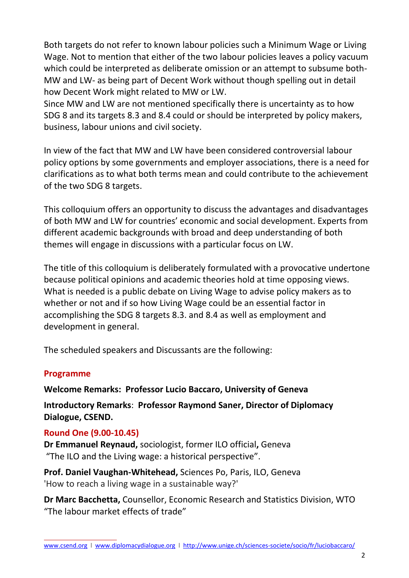Both targets do not refer to known labour policies such a Minimum Wage or Living Wage. Not to mention that either of the two labour policies leaves a policy vacuum which could be interpreted as deliberate omission or an attempt to subsume both-MW and LW- as being part of Decent Work without though spelling out in detail how Decent Work might related to MW or LW.

Since MW and LW are not mentioned specifically there is uncertainty as to how SDG 8 and its targets 8.3 and 8.4 could or should be interpreted by policy makers, business, labour unions and civil society.

In view of the fact that MW and LW have been considered controversial labour policy options by some governments and employer associations, there is a need for clarifications as to what both terms mean and could contribute to the achievement of the two SDG 8 targets.

This colloquium offers an opportunity to discuss the advantages and disadvantages of both MW and LW for countries' economic and social development. Experts from different academic backgrounds with broad and deep understanding of both themes will engage in discussions with a particular focus on LW.

The title of this colloquium is deliberately formulated with a provocative undertone because political opinions and academic theories hold at time opposing views. What is needed is a public debate on Living Wage to advise policy makers as to whether or not and if so how Living Wage could be an essential factor in accomplishing the SDG 8 targets 8.3. and 8.4 as well as employment and development in general.

The scheduled speakers and Discussants are the following:

## **Programme**

**Welcome Remarks: Professor Lucio Baccaro, University of Geneva**

**Introductory Remarks**: **Professor Raymond Saner, Director of Diplomacy Dialogue, CSEND.**

## **Round One (9.00-10.45)**

**Dr Emmanuel Reynaud,** sociologist, former ILO official**,** Geneva "The ILO and the Living wage: a historical perspective".

**Prof. Daniel Vaughan-Whitehead,** Sciences Po, Paris, ILO, Geneva 'How to reach a living wage in a sustainable way?'

**Dr Marc Bacchetta,** Counsellor, Economic Research and Statistics Division, WTO "The labour market effects of trade"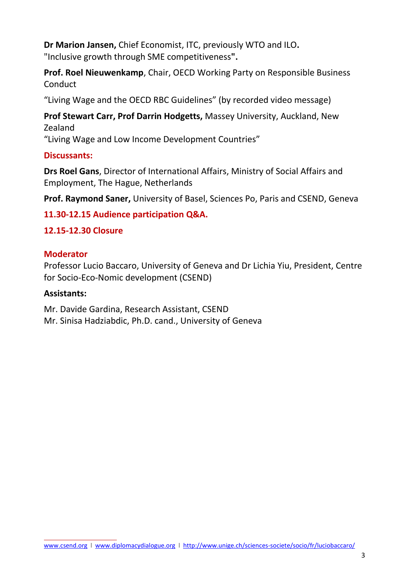**Dr Marion Jansen,** Chief Economist, ITC, previously WTO and ILO**.** "Inclusive growth through SME competitiveness**".**

**Prof. Roel Nieuwenkamp**, Chair, OECD Working Party on Responsible Business **Conduct** 

"Living Wage and the OECD RBC Guidelines" (by recorded video message)

**Prof Stewart Carr, Prof Darrin Hodgetts,** Massey University, Auckland, New Zealand

"Living Wage and Low Income Development Countries"

## **Discussants:**

**Drs Roel Gans**, Director of International Affairs, Ministry of Social Affairs and Employment, The Hague, Netherlands

**Prof. Raymond Saner,** University of Basel, Sciences Po, Paris and CSEND, Geneva

## **11.30-12.15 Audience participation Q&A.**

## **12.15-12.30 Closure**

## **Moderator**

Professor Lucio Baccaro, University of Geneva and Dr Lichia Yiu, President, Centre for Socio-Eco-Nomic development (CSEND)

## **Assistants:**

Mr. Davide Gardina, Research Assistant, CSEND Mr. Sinisa Hadziabdic, Ph.D. cand., University of Geneva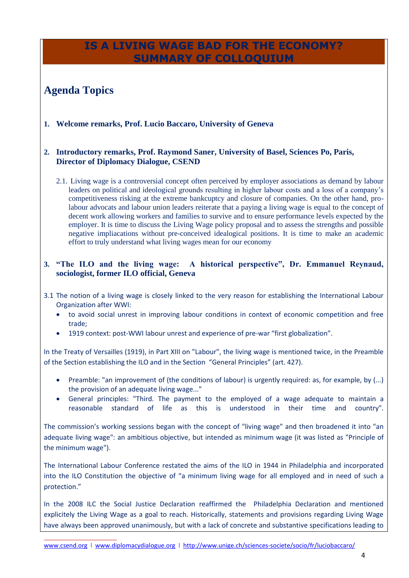## **IS A LIVING WAGE BAD FOR THE ECONOMY? SUMMARY OF COLLOQUIUM**

# **Agenda Topics**

**1. Welcome remarks, Prof. Lucio Baccaro, University of Geneva**

#### **2. Introductory remarks, Prof. Raymond Saner, University of Basel, Sciences Po, Paris, Director of Diplomacy Dialogue, CSEND**

2.1. Living wage is a controversial concept often perceived by employer associations as demand by labour leaders on political and ideological grounds resulting in higher labour costs and a loss of a company's competitiveness risking at the extreme bankcuptcy and closure of companies. On the other hand, prolabour advocats and labour union leaders reiterate that a paying a living wage is equal to the concept of decent work allowing workers and families to survive and to ensure performance levels expected by the employer. It is time to discuss the Living Wage policy proposal and to assess the strengths and possible negative impliacations without pre-conceived idealogical positions. It is time to make an academic effort to truly understand what living wages mean for our economy

#### **3. "The ILO and the living wage: A historical perspective", Dr. Emmanuel Reynaud, sociologist, former ILO official, Geneva**

- 3.1 The notion of a living wage is closely linked to the very reason for establishing the International Labour Organization after WWI:
	- to avoid social unrest in improving labour conditions in context of economic competition and free trade;
	- 1919 context: post-WWI labour unrest and experience of pre-war "first globalization".

In the Treaty of Versailles (1919), in Part XIII on "Labour", the living wage is mentioned twice, in the Preamble of the Section establishing the ILO and in the Section "General Principles" (art. 427).

- Preamble: "an improvement of (the conditions of labour) is urgently required: as, for example, by (...) the provision of an adequate living wage..."
- General principles: "Third. The payment to the employed of a wage adequate to maintain a reasonable standard of life as this is understood in their time and country".

The commission's working sessions began with the concept of "living wage" and then broadened it into "an adequate living wage": an ambitious objective, but intended as minimum wage (it was listed as "Principle of the minimum wage").

The International Labour Conference restated the aims of the ILO in 1944 in Philadelphia and incorporated into the ILO Constitution the objective of "a minimum living wage for all employed and in need of such a protection."

In the 2008 ILC the Social Justice Declaration reaffirmed the Philadelphia Declaration and mentioned explicitely the Living Wage as a goal to reach. Historically, statements and provisions regarding Living Wage have always been approved unanimously, but with a lack of concrete and substantive specifications leading to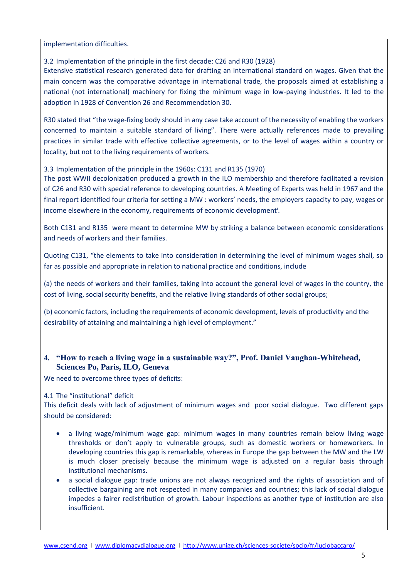implementation difficulties.

#### 3.2 Implementation of the principle in the first decade: C26 and R30 (1928)

Extensive statistical research generated data for drafting an international standard on wages. Given that the main concern was the comparative advantage in international trade, the proposals aimed at establishing a national (not international) machinery for fixing the minimum wage in low-paying industries. It led to the adoption in 1928 of Convention 26 and Recommendation 30.

R30 stated that "the wage-fixing body should in any case take account of the necessity of enabling the workers concerned to maintain a suitable standard of living". There were actually references made to prevailing practices in similar trade with effective collective agreements, or to the level of wages within a country or locality, but not to the living requirements of workers.

#### 3.3 Implementation of the principle in the 1960s: C131 and R135 (1970)

The post WWII decolonization produced a growth in the ILO membership and therefore facilitated a revision of C26 and R30 with special reference to developing countries. A Meeting of Experts was held in 1967 and the final report identified four criteria for setting a MW : workers' needs, the employers capacity to pay, wages or income elsewhere in the economy, requirements of economic development<sup>i</sup>.

Both C131 and R135 were meant to determine MW by striking a balance between economic considerations and needs of workers and their families.

Quoting C131, "the elements to take into consideration in determining the level of minimum wages shall, so far as possible and appropriate in relation to national practice and conditions, include

(a) the needs of workers and their families, taking into account the general level of wages in the country, the cost of living, social security benefits, and the relative living standards of other social groups;

(b) economic factors, including the requirements of economic development, levels of productivity and the desirability of attaining and maintaining a high level of employment."

#### **4. "How to reach a living wage in a sustainable way?", Prof. Daniel Vaughan-Whitehead, Sciences Po, Paris, ILO, Geneva**

We need to overcome three types of deficits:

#### 4.1 The "institutional" deficit

This deficit deals with lack of adjustment of minimum wages and poor social dialogue. Two different gaps should be considered:

- a living wage/minimum wage gap: minimum wages in many countries remain below living wage thresholds or don't apply to vulnerable groups, such as domestic workers or homeworkers. In developing countries this gap is remarkable, whereas in Europe the gap between the MW and the LW is much closer precisely because the minimum wage is adjusted on a regular basis through institutional mechanisms.
- a social dialogue gap: trade unions are not always recognized and the rights of association and of collective bargaining are not respected in many companies and countries; this lack of social dialogue impedes a fairer redistribution of growth. Labour inspections as another type of institution are also insufficient.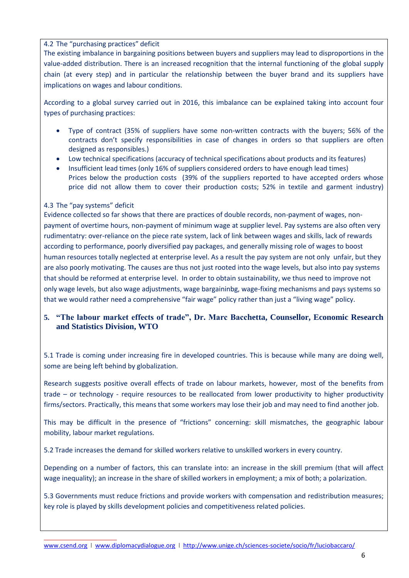#### 4.2 The "purchasing practices" deficit

The existing imbalance in bargaining positions between buyers and suppliers may lead to disproportions in the value-added distribution. There is an increased recognition that the internal functioning of the global supply chain (at every step) and in particular the relationship between the buyer brand and its suppliers have implications on wages and labour conditions.

According to a global survey carried out in 2016, this imbalance can be explained taking into account four types of purchasing practices:

- Type of contract (35% of suppliers have some non-written contracts with the buyers; 56% of the contracts don't specify responsibilities in case of changes in orders so that suppliers are often designed as responsibles.)
- Low technical specifications (accuracy of technical specifications about products and its features)
- Insufficient lead times (only 16% of suppliers considered orders to have enough lead times) Prices below the production costs (39% of the suppliers reported to have accepted orders whose price did not allow them to cover their production costs; 52% in textile and garment industry)

#### 4.3 The "pay systems" deficit

Evidence collected so far shows that there are practices of double records, non-payment of wages, nonpayment of overtime hours, non-payment of minimum wage at supplier level. Pay systems are also often very rudimentatry: over-reliance on the piece rate system, lack of link between wages and skills, lack of rewards according to performance, poorly diversified pay packages, and generally missing role of wages to boost human resources totally neglected at enterprise level. As a result the pay system are not only unfair, but they are also poorly motivating. The causes are thus not just rooted into the wage levels, but also into pay systems that should be reformed at enterprise level. In order to obtain sustainability, we thus need to improve not only wage levels, but also wage adjustments, wage bargaininbg, wage-fixing mechanisms and pays systems so that we would rather need a comprehensive "fair wage" policy rather than just a "living wage" policy.

#### **5. "The labour market effects of trade", Dr. Marc Bacchetta, Counsellor, Economic Research and Statistics Division, WTO**

5.1 Trade is coming under increasing fire in developed countries. This is because while many are doing well, some are being left behind by globalization.

Research suggests positive overall effects of trade on labour markets, however, most of the benefits from trade – or technology - require resources to be reallocated from lower productivity to higher productivity firms/sectors. Practically, this means that some workers may lose their job and may need to find another job.

This may be difficult in the presence of "frictions" concerning: skill mismatches, the geographic labour mobility, labour market regulations.

5.2 Trade increases the demand for skilled workers relative to unskilled workers in every country.

Depending on a number of factors, this can translate into: an increase in the skill premium (that will affect wage inequality); an increase in the share of skilled workers in employment; a mix of both; a polarization.

5.3 Governments must reduce frictions and provide workers with compensation and redistribution measures; key role is played by skills development policies and competitiveness related policies.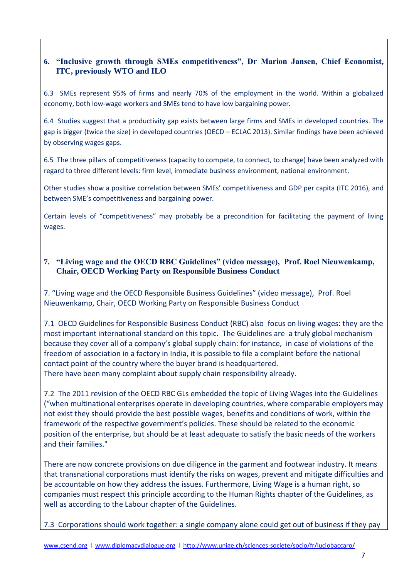### **6. "Inclusive growth through SMEs competitiveness", Dr Marion Jansen, Chief Economist, ITC, previously WTO and ILO**

6.3 SMEs represent 95% of firms and nearly 70% of the employment in the world. Within a globalized economy, both low-wage workers and SMEs tend to have low bargaining power.

6.4 Studies suggest that a productivity gap exists between large firms and SMEs in developed countries. The gap is bigger (twice the size) in developed countries (OECD – ECLAC 2013). Similar findings have been achieved by observing wages gaps.

6.5 The three pillars of competitiveness (capacity to compete, to connect, to change) have been analyzed with regard to three different levels: firm level, immediate business environment, national environment.

Other studies show a positive correlation between SMEs' competitiveness and GDP per capita (ITC 2016), and between SME's competitiveness and bargaining power.

Certain levels of "competitiveness" may probably be a precondition for facilitating the payment of living wages.

### **7. "Living wage and the OECD RBC Guidelines" (video message), Prof. Roel Nieuwenkamp, Chair, OECD Working Party on Responsible Business Conduct**

7. "Living wage and the OECD Responsible Business Guidelines" (video message), Prof. Roel Nieuwenkamp, Chair, OECD Working Party on Responsible Business Conduct

7.1 OECD Guidelines for Responsible Business Conduct (RBC) also focus on living wages: they are the most important international standard on this topic. The Guidelines are a truly global mechanism because they cover all of a company's global supply chain: for instance, in case of violations of the freedom of association in a factory in India, it is possible to file a complaint before the national contact point of the country where the buyer brand is headquartered. There have been many complaint about supply chain responsibility already.

7.2 The 2011 revision of the OECD RBC GLs embedded the topic of Living Wages into the Guidelines ("when multinational enterprises operate in developing countries, where comparable employers may not exist they should provide the best possible wages, benefits and conditions of work, within the framework of the respective government's policies. These should be related to the economic position of the enterprise, but should be at least adequate to satisfy the basic needs of the workers and their families."

There are now concrete provisions on due diligence in the garment and footwear industry. It means that transnational corporations must identify the risks on wages, prevent and mitigate difficulties and be accountable on how they address the issues. Furthermore, Living Wage is a human right, so companies must respect this principle according to the Human Rights chapter of the Guidelines, as well as according to the Labour chapter of the Guidelines.

7.3 Corporations should work together: a single company alone could get out of business if they pay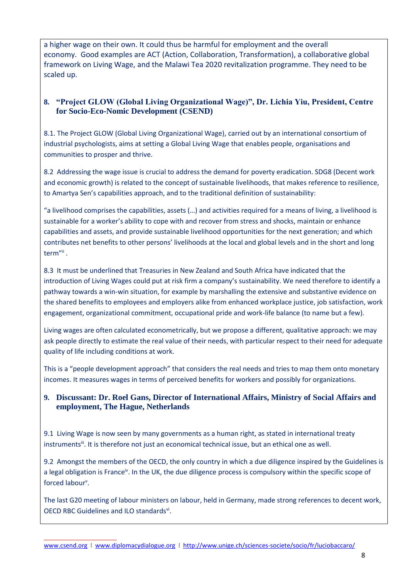a higher wage on their own. It could thus be harmful for employment and the overall economy. Good examples are ACT (Action, Collaboration, Transformation), a collaborative global framework on Living Wage, and the Malawi Tea 2020 revitalization programme. They need to be scaled up.

### **8. "Project GLOW (Global Living Organizational Wage)", Dr. Lichia Yiu, President, Centre for Socio-Eco-Nomic Development (CSEND)**

8.1. The Project GLOW (Global Living Organizational Wage), carried out by an international consortium of industrial psychologists, aims at setting a Global Living Wage that enables people, organisations and communities to prosper and thrive.

8.2 Addressing the wage issue is crucial to address the demand for poverty eradication. SDG8 (Decent work and economic growth) is related to the concept of sustainable livelihoods, that makes reference to resilience, to Amartya Sen's capabilities approach, and to the traditional definition of sustainability:

"a livelihood comprises the capabilities, assets (…) and activities required for a means of living, a livelihood is sustainable for a worker's ability to cope with and recover from stress and shocks, maintain or enhance capabilities and assets, and provide sustainable livelihood opportunities for the next generation; and which contributes net benefits to other persons' livelihoods at the local and global levels and in the short and long term"<sup>ii</sup> .

8.3 It must be underlined that Treasuries in New Zealand and South Africa have indicated that the introduction of Living Wages could put at risk firm a company's sustainability. We need therefore to identify a pathway towards a win-win situation, for example by marshalling the extensive and substantive evidence on the shared benefits to employees and employers alike from enhanced workplace justice, job satisfaction, work engagement, organizational commitment, occupational pride and work-life balance (to name but a few).

Living wages are often calculated econometrically, but we propose a different, qualitative approach: we may ask people directly to estimate the real value of their needs, with particular respect to their need for adequate quality of life including conditions at work.

This is a "people development approach" that considers the real needs and tries to map them onto monetary incomes. It measures wages in terms of perceived benefits for workers and possibly for organizations.

### **9. Discussant: Dr. Roel Gans, Director of International Affairs, Ministry of Social Affairs and employment, The Hague, Netherlands**

9.1 Living Wage is now seen by many governments as a human right, as stated in international treaty instruments<sup>iii</sup>. It is therefore not just an economical technical issue, but an ethical one as well.

9.2 Amongst the members of the OECD, the only country in which a due diligence inspired by the Guidelines is a legal obligation is France<sup>iv</sup>. In the UK, the due diligence process is compulsory within the specific scope of forced labour<sup>v</sup>.

The last G20 meeting of labour ministers on labour, held in Germany, made strong references to decent work, OECD RBC Guidelines and ILO standardsvi.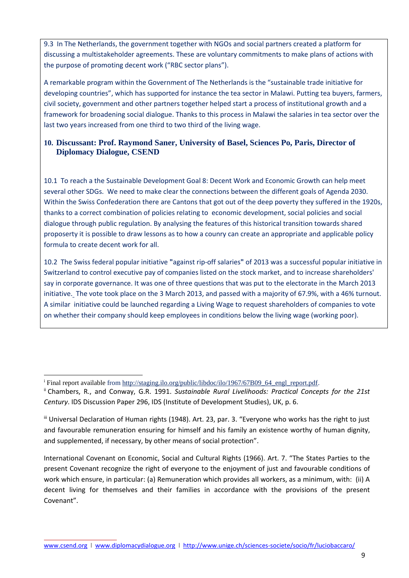9.3 In The Netherlands, the government together with NGOs and social partners created a platform for discussing a multistakeholder agreements. These are voluntary commitments to make plans of actions with the purpose of promoting decent work ("RBC sector plans").

A remarkable program within the Government of The Netherlands is the "sustainable trade initiative for developing countries", which has supported for instance the tea sector in Malawi. Putting tea buyers, farmers, civil society, government and other partners together helped start a process of institutional growth and a framework for broadening social dialogue. Thanks to this process in Malawi the salaries in tea sector over the last two years increased from one third to two third of the living wage.

### **10. Discussant: Prof. Raymond Saner, University of Basel, Sciences Po, Paris, Director of Diplomacy Dialogue, CSEND**

10.1 To reach a the Sustainable Development Goal 8: Decent Work and Economic Growth can help meet several other SDGs. We need to make clear the connections between the different goals of Agenda 2030. Within the Swiss Confederation there are Cantons that got out of the deep poverty they suffered in the 1920s, thanks to a correct combination of policies relating to economic development, social policies and social dialogue through public regulation. By analysing the features of this historical transition towards shared proposerty it is possible to draw lessons as to how a counry can create an appropriate and applicable policy formula to create decent work for all.

10.2 The Swiss [federal popular initiative](https://en.wikipedia.org/wiki/Federal_popular_initiative) **"**against rip-off salaries**"** of 2013 was a successful popular initiative in [Switzerland](https://en.wikipedia.org/wiki/Switzerland) to control executive pay of companies listed on the stock market, and to increase shareholders' say in corporate governance. It was one of three questions that was put to the electorate in the [March 2013](https://en.wikipedia.org/wiki/Swiss_referendums,_2013#March_referendums)  [initiative.](https://en.wikipedia.org/wiki/Swiss_referendums,_2013#March_referendums) The vote took place on the 3 March 2013, and passed with a majority of 67.9%, with a 46% turnout. A similar initiative could be launched regarding a Living Wage to request shareholders of companies to vote on whether their company should keep employees in conditions below the living wage (working poor).

 $\overline{a}$ 

International Covenant on Economic, Social and Cultural Rights (1966). Art. 7. "The States Parties to the present Covenant recognize the right of everyone to the enjoyment of just and favourable conditions of work which ensure, in particular: (a) Remuneration which provides all workers, as a minimum, with: (ii) A decent living for themselves and their families in accordance with the provisions of the present Covenant".

<sup>&</sup>lt;sup>i</sup> Final report available from [http://staging.ilo.org/public/libdoc/ilo/1967/67B09\\_64\\_engl\\_report.pdf.](http://staging.ilo.org/public/libdoc/ilo/1967/67B09_64_engl_report.pdf)

ii Chambers, R., and Conway, G.R. 1991. *Sustainable Rural Livelihoods: Practical Concepts for the 21st Century*. IDS Discussion Paper 296, IDS (Institute of Development Studies), UK, p. 6.

iii Universal Declaration of Human rights (1948). Art. 23, par. 3. "Everyone who works has the right to just and favourable remuneration ensuring for himself and his family an existence worthy of human dignity, and supplemented, if necessary, by other means of social protection".